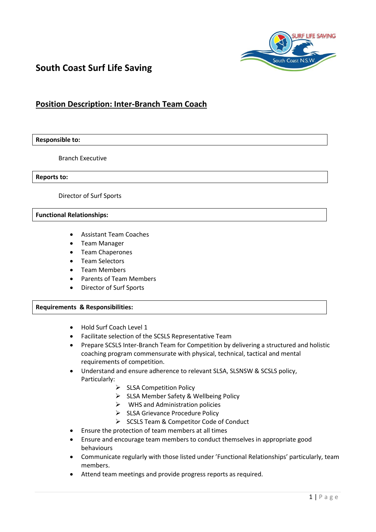

# **South Coast Surf Life Saving**

# **Position Description: Inter-Branch Team Coach**

#### **Responsible to:**

Branch Executive

**Reports to:**

Director of Surf Sports

#### **Functional Relationships:**

- Assistant Team Coaches
- Team Manager
- Team Chaperones
- Team Selectors
- Team Members
- Parents of Team Members
- Director of Surf Sports

#### **Requirements & Responsibilities:**

- Hold Surf Coach Level 1
- Facilitate selection of the SCSLS Representative Team
- Prepare SCSLS Inter-Branch Team for Competition by delivering a structured and holistic coaching program commensurate with physical, technical, tactical and mental requirements of competition.
- Understand and ensure adherence to relevant SLSA, SLSNSW & SCSLS policy, Particularly:
	- $\triangleright$  SLSA Competition Policy
	- $\triangleright$  SLSA Member Safety & Wellbeing Policy
	- $\triangleright$  WHS and Administration policies
	- SLSA Grievance Procedure Policy
	- SCSLS Team & Competitor Code of Conduct
- Ensure the protection of team members at all times
- Ensure and encourage team members to conduct themselves in appropriate good behaviours
- Communicate regularly with those listed under 'Functional Relationships' particularly, team members.
- Attend team meetings and provide progress reports as required.